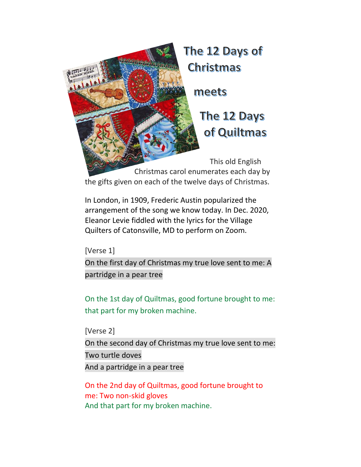

In London, in [1909,](https://catalog.loc.gov/vwebv/search?searchCode=LCCN&searchArg=2006564224&searchType=1&permalink=y) [Frederic](https://genius.com/artists/Frederic-austin) Austin popularized the arrangement of the song we know today. In Dec. 2020, Eleanor Levie fiddled with the lyrics for the Village Quilters of Catonsville, MD to perform on Zoom.

[Verse 1]

On the first day of [Christmas](https://genius.com/Christmas-songs-the-twelve-days-of-christmas-lyrics#note-13322756) my true love sent to me: [A](https://genius.com/Christmas-songs-the-twelve-days-of-christmas-lyrics#note-16059859) [partridge](https://genius.com/Christmas-songs-the-twelve-days-of-christmas-lyrics#note-16059859) in a pear tree

On the 1st day of Quiltmas, good fortune brought to me: that part for my broken machine.

[Verse 2] On the second day of [Christmas](https://genius.com/Christmas-songs-the-twelve-days-of-christmas-lyrics#note-13322756) my true love sent to me: Two turtle [doves](https://genius.com/Christmas-songs-the-twelve-days-of-christmas-lyrics#note-16059864) And a [partridge](https://genius.com/Christmas-songs-the-twelve-days-of-christmas-lyrics#note-16059859) in a pear tree

On the 2nd day of Quiltmas, good fortune brought to me: Two non-skid gloves And that part for my broken machine.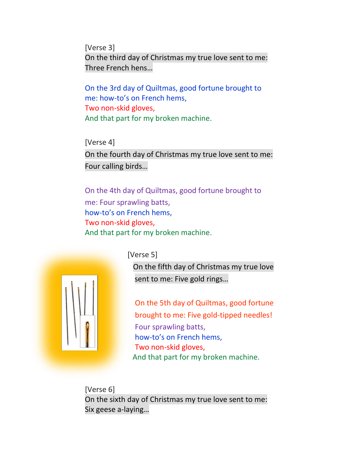[Verse 3] On the third day of [Christmas](https://genius.com/Christmas-songs-the-twelve-days-of-christmas-lyrics#note-13322756) my true love sent to me: Three [French](https://genius.com/Christmas-songs-the-twelve-days-of-christmas-lyrics#note-16059868) hens…

On the 3rd day of Quiltmas, good fortune brought to me: how-to's on French hems, Two non-skid gloves, And that part for my broken machine.

[Verse 4] On the fourth day of [Christmas](https://genius.com/Christmas-songs-the-twelve-days-of-christmas-lyrics#note-13322756) my true love sent to me: Four [calling](https://genius.com/Christmas-songs-the-twelve-days-of-christmas-lyrics#note-16059869) birds…

## On the 4th day of Quiltmas, good fortune brought to me: Four sprawling batts, how-to's on French hems,

Two non-skid gloves, And that part for my broken machine.



## [Verse 5]

On the fifth day of [Christmas](https://genius.com/Christmas-songs-the-twelve-days-of-christmas-lyrics#note-13322756) my true love [sent](https://genius.com/Christmas-songs-the-twelve-days-of-christmas-lyrics#note-13322756) to me: Five gold [rings](https://genius.com/Christmas-songs-the-twelve-days-of-christmas-lyrics#note-13354318)…

On the 5th day of Quiltmas, good fortune brought to me: Five gold-tipped needles! Four sprawling batts, how-to's on French hems, Two non-skid gloves, And that part for my broken machine.

[Verse 6] On the sixth day of [Christmas](https://genius.com/Christmas-songs-the-twelve-days-of-christmas-lyrics#note-13322756) my true love sent to me: Six geese [a-laying](https://genius.com/Christmas-songs-the-twelve-days-of-christmas-lyrics#note-16059870)…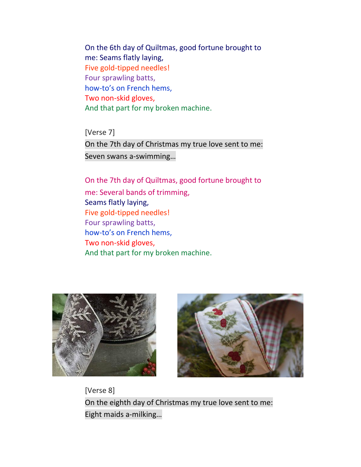On the 6th day of Quiltmas, good fortune brought to me: Seams flatly laying, Five gold-tipped needles! Four sprawling batts, how-to's on French hems, Two non-skid gloves, And that part for my broken machine.

[Verse 7] On the 7th day of [Christmas](https://genius.com/Christmas-songs-the-twelve-days-of-christmas-lyrics#note-13322756) my true love sent to me: Seven swans [a-swimming](https://genius.com/Christmas-songs-the-twelve-days-of-christmas-lyrics#note-16059876)…

On the 7th day of Quiltmas, good fortune brought to me: Several bands of trimming, Seams flatly laying, Five gold-tipped needles! Four sprawling batts, how-to's on French hems, Two non-skid gloves, And that part for my broken machine.





[Verse 8] On the eighth day of [Christmas](https://genius.com/Christmas-songs-the-twelve-days-of-christmas-lyrics#note-13322756) my true love sent to me: Eight maids [a-milking](https://genius.com/Christmas-songs-the-twelve-days-of-christmas-lyrics#note-16059888)…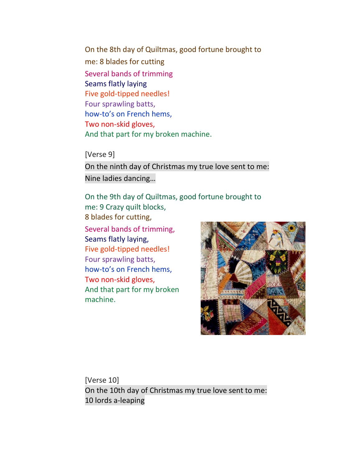On the 8th day of Quiltmas, good fortune brought to me: 8 blades for cutting Several bands of trimming Seams flatly laying Five gold-tipped needles! Four sprawling batts, how-to's on French hems, Two non-skid gloves, And that part for my broken machine.

[Verse 9] On the ninth day of [Christmas](https://genius.com/Christmas-songs-the-twelve-days-of-christmas-lyrics#note-13322756) my true love sent to me: Nine ladies [dancing](https://genius.com/Christmas-songs-the-twelve-days-of-christmas-lyrics#note-16059906)…

On the 9th day of Quiltmas, good fortune brought to me: 9 Crazy quilt blocks, 8 blades for cutting, Several bands of trimming,

Seams flatly laying, Five gold-tipped needles! Four sprawling batts, how-to's on French hems, Two non-skid gloves, And that part for my broken machine.



[Verse 10] On the 10th day of [Christmas](https://genius.com/Christmas-songs-the-twelve-days-of-christmas-lyrics#note-13322756) my true love sent to me: 10 lords [a-leaping](https://genius.com/Christmas-songs-the-twelve-days-of-christmas-lyrics#note-16059929)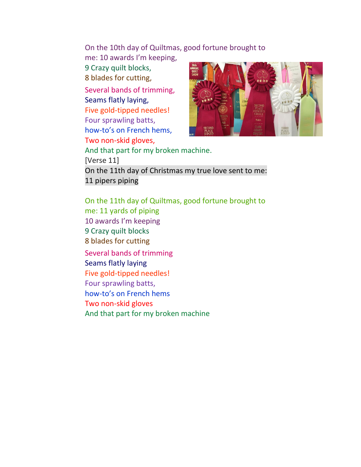On the 10th day of Quiltmas, good fortune brought to

me: 10 awards I'm keeping, 9 Crazy quilt blocks, 8 blades for cutting, Several bands of trimming, Seams flatly laying, Five gold-tipped needles! Four sprawling batts, how-to's on French hems, Two non-skid gloves, And that part for my broken machine. [Verse 11]



On the 11th day of [Christmas](https://genius.com/Christmas-songs-the-twelve-days-of-christmas-lyrics#note-13322756) my true love sent to me: 11 [pipers](https://genius.com/Christmas-songs-the-twelve-days-of-christmas-lyrics#note-16059972) piping

On the 11th day of Quiltmas, good fortune brought to me: 11 yards of piping 10 awards I'm keeping 9 Crazy quilt blocks 8 blades for cutting Several bands of trimming Seams flatly laying Five gold-tipped needles! Four sprawling batts, how-to's on French hems Two non-skid gloves And that part for my broken machine